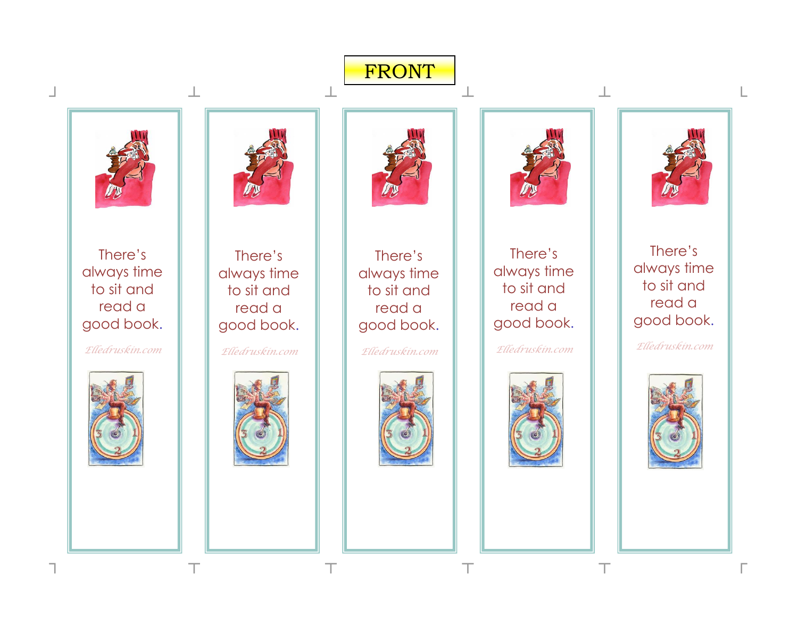